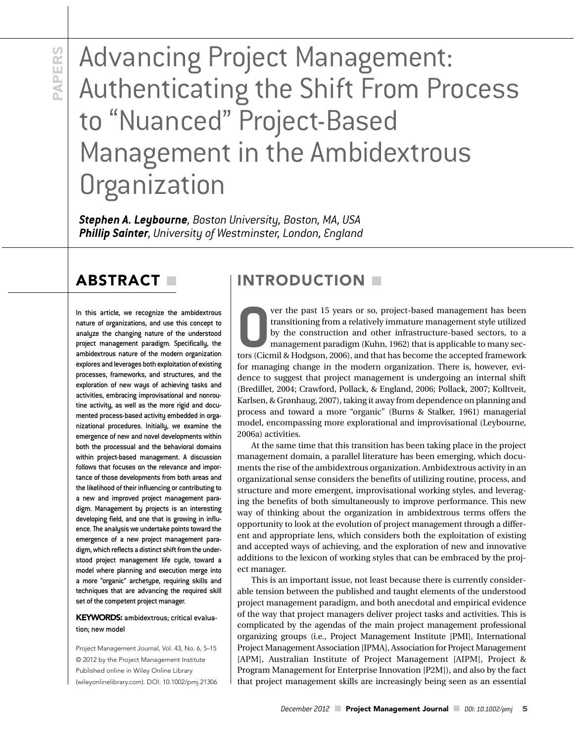PAPERS **PAPERS**

# Advancing Project Management: Authenticating the Shift From Process to "Nuanced" Project-Based Management in the Ambidextrous **Organization**

*Stephen A. Leybourne, Boston University, Boston, MA, USA Phillip Sainter, University of Westminster, London, England*

## **ABSTRACT**

In this article, we recognize the ambidextrous nature of organizations, and use this concept to analyze the changing nature of the understood project management paradigm. Specifically, the ambidextrous nature of the modern organization explores and leverages both exploitation of existing processes, frameworks, and structures, and the exploration of new ways of achieving tasks and activities, embracing improvisational and nonroutine activity, as well as the more rigid and documented process-based activity embedded in organizational procedures. Initially, we examine the emergence of new and novel developments within both the processual and the behavioral domains within project-based management. A discussion follows that focuses on the relevance and importance of those developments from both areas and the likelihood of their influencing or contributing to a new and improved project management paradigm. Management by projects is an interesting developing field, and one that is growing in influence. The analysis we undertake points toward the emergence of a new project management paradigm, which reflects a distinct shift from the understood project management life cycle, toward a model where planning and execution merge into a more "organic" archetype, requiring skills and techniques that are advancing the required skill set of the competent project manager.

#### KEYWORDS: ambidextrous; critical evaluation; new model

Project Management Journal, Vol. 43, No. 6, 5–15 © 2012 by the Project Management Institute Published online in Wiley Online Library (wileyonlinelibrary.com). DOI: 10.1002/pmj.21306

## INTRODUCTION ■

For the past 15 years or so, project-based management has been transitioning from a relatively immature management style utilized by the construction and other infrastructure-based sectors, to a management paradigm (Kuhn, ver the past 15 years or so, project-based management has been transitioning from a relatively immature management style utilized by the construction and other infrastructure-based sectors, to a management paradigm (Kuhn, 1962) that is applicable to many secfor managing change in the modern organization. There is, however, evidence to suggest that project management is undergoing an internal shift (Bredillet, 2004; Crawford, Pollack, & England, 2006; Pollack, 2007; Kolltveit, Karlsen, & Grønhaug, 2007), taking it away from dependence on planning and process and toward a more "organic" (Burns & Stalker, 1961) managerial model, encompassing more explorational and improvisational (Leybourne, 2006a) activities.

At the same time that this transition has been taking place in the project management domain, a parallel literature has been emerging, which documents the rise of the ambidextrous organization. Ambidextrous activity in an organizational sense considers the benefits of utilizing routine, process, and structure and more emergent, improvisational working styles, and leveraging the benefits of both simultaneously to improve performance. This new way of thinking about the organization in ambidextrous terms offers the opportunity to look at the evolution of project management through a different and appropriate lens, which considers both the exploitation of existing and accepted ways of achieving, and the exploration of new and innovative additions to the lexicon of working styles that can be embraced by the project manager.

This is an important issue, not least because there is currently considerable tension between the published and taught elements of the understood project management paradigm, and both anecdotal and empirical evidence of the way that project managers deliver project tasks and activities. This is complicated by the agendas of the main project management professional organizing groups (i.e., Project Management Institute [PMI], International Project Management Association [IPMA], Association for Project Management [APM], Australian Institute of Project Management [AIPM], Project & Program Management for Enterprise Innovation [P2M]), and also by the fact that project management skills are increasingly being seen as an essential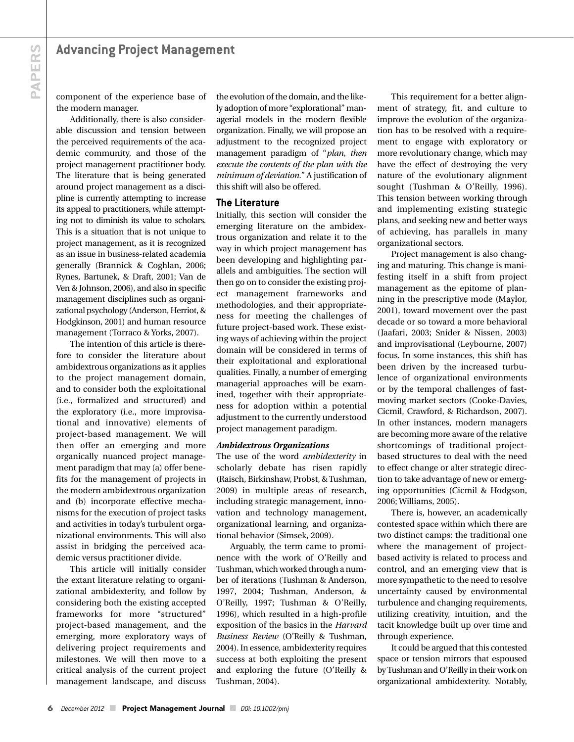## **Advancing Project Management**

component of the experience base of the modern manager.

Additionally, there is also considerable discussion and tension between the perceived requirements of the academic community, and those of the project management practitioner body. The literature that is being generated around project management as a discipline is currently attempting to increase its appeal to practitioners, while attempting not to diminish its value to scholars. This is a situation that is not unique to project management, as it is recognized as an issue in business-related academia generally (Brannick & Coghlan, 2006; Rynes, Bartunek, & Draft, 2001; Van de Ven & Johnson, 2006), and also in specific management disciplines such as organizational psychology (Anderson, Herriot, & Hodgkinson, 2001) and human resource management (Torraco & Yorks, 2007).

The intention of this article is therefore to consider the literature about ambidextrous organizations as it applies to the project management domain, and to consider both the exploitational (i.e., formalized and structured) and the exploratory (i.e., more improvisational and innovative) elements of project-based management. We will then offer an emerging and more organically nuanced project management paradigm that may (a) offer benefits for the management of projects in the modern ambidextrous organization and (b) incorporate effective mechanisms for the execution of project tasks and activities in today's turbulent organizational environments. This will also assist in bridging the perceived academic versus practitioner divide.

This article will initially consider the extant literature relating to organizational ambidexterity, and follow by considering both the existing accepted frameworks for more "structured" project-based management, and the emerging, more exploratory ways of delivering project requirements and milestones. We will then move to a critical analysis of the current project management landscape, and discuss

the evolution of the domain, and the likely adoption of more "explorational" managerial models in the modern flexible organization. Finally, we will propose an adjustment to the recognized project management paradigm of "*plan, then execute the contents of the plan with the minimum of deviation.*" A justification of this shift will also be offered.

#### **The Literature**

Initially, this section will consider the emerging literature on the ambidextrous organization and relate it to the way in which project management has been developing and highlighting parallels and ambiguities. The section will then go on to consider the existing project management frameworks and methodologies, and their appropriateness for meeting the challenges of future project-based work. These existing ways of achieving within the project domain will be considered in terms of their exploitational and explorational qualities. Finally, a number of emerging managerial approaches will be examined, together with their appropriateness for adoption within a potential adjustment to the currently understood project management paradigm.

#### *Ambidextrous Organizations*

The use of the word *ambidexterity* in scholarly debate has risen rapidly (Raisch, Birkinshaw, Probst, & Tushman, 2009) in multiple areas of research, including strategic management, innovation and technology management, organizational learning, and organizational behavior (Simsek, 2009).

Arguably, the term came to prominence with the work of O'Reilly and Tushman, which worked through a number of iterations (Tushman & Anderson, 1997, 2004; Tushman, Anderson, & O'Reilly, 1997; Tushman & O'Reilly, 1996), which resulted in a high-profile exposition of the basics in the *Harvard Business Review* (O'Reilly & Tushman, 2004). In essence, ambidexterity requires success at both exploiting the present and exploring the future (O'Reilly & Tushman, 2004).

This requirement for a better alignment of strategy, fit, and culture to improve the evolution of the organization has to be resolved with a requirement to engage with exploratory or more revolutionary change, which may have the effect of destroying the very nature of the evolutionary alignment sought (Tushman & O'Reilly, 1996). This tension between working through and implementing existing strategic plans, and seeking new and better ways of achieving, has parallels in many organizational sectors.

Project management is also changing and maturing. This change is manifesting itself in a shift from project management as the epitome of planning in the prescriptive mode (Maylor, 2001), toward movement over the past decade or so toward a more behavioral (Jaafari, 2003; Snider & Nissen, 2003) and improvisational (Leybourne, 2007) focus. In some instances, this shift has been driven by the increased turbulence of organizational environments or by the temporal challenges of fastmoving market sectors (Cooke-Davies, Cicmil, Crawford, & Richardson, 2007). In other instances, modern managers are becoming more aware of the relative shortcomings of traditional projectbased structures to deal with the need to effect change or alter strategic direction to take advantage of new or emerging opportunities (Cicmil & Hodgson, 2006; Williams, 2005).

There is, however, an academically contested space within which there are two distinct camps: the traditional one where the management of projectbased activity is related to process and control, and an emerging view that is more sympathetic to the need to resolve uncertainty caused by environmental turbulence and changing requirements, utilizing creativity, intuition, and the tacit knowledge built up over time and through experience.

It could be argued that this contested space or tension mirrors that espoused by Tushman and O'Reilly in their work on organizational ambidexterity. Notably,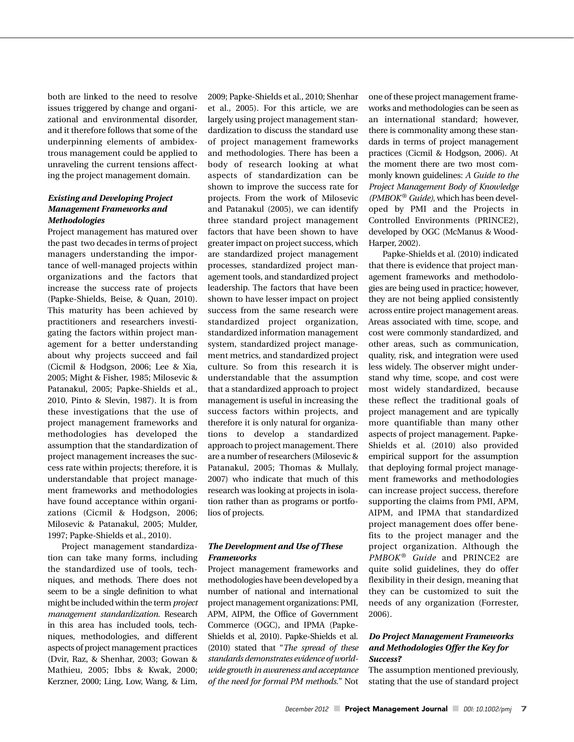both are linked to the need to resolve issues triggered by change and organizational and environmental disorder, and it therefore follows that some of the underpinning elements of ambidextrous management could be applied to unraveling the current tensions affecting the project management domain.

#### *Existing and Developing Project Management Frameworks and Methodologies*

Project management has matured over the past two decades in terms of project managers understanding the importance of well-managed projects within organizations and the factors that increase the success rate of projects (Papke-Shields, Beise, & Quan*,* 2010). This maturity has been achieved by practitioners and researchers investigating the factors within project management for a better understanding about why projects succeed and fail (Cicmil & Hodgson, 2006; Lee & Xia, 2005; Might & Fisher, 1985; Milosevic & Patanakul, 2005; Papke-Shields et al., 2010, Pinto & Slevin, 1987). It is from these investigations that the use of project management frameworks and methodologies has developed the assumption that the standardization of project management increases the success rate within projects; therefore, it is understandable that project management frameworks and methodologies have found acceptance within organizations (Cicmil & Hodgson, 2006; Milosevic & Patanakul, 2005; Mulder, 1997; Papke-Shields et al., 2010).

Project management standardization can take many forms, including the standardized use of tools, techniques, and methods. There does not seem to be a single definition to what might be included within the term *project management standardization.* Research in this area has included tools, techniques, methodologies, and different aspects of project management practices (Dvir, Raz, & Shenhar, 2003; Gowan & Mathieu, 2005; Ibbs & Kwak, 2000; Kerzner, 2000; Ling, Low, Wang, & Lim*,*

2009; Papke-Shields et al., 2010; Shenhar et al., 2005). For this article, we are largely using project management standardization to discuss the standard use of project management frameworks and methodologies. There has been a body of research looking at what aspects of standardization can be shown to improve the success rate for projects. From the work of Milosevic and Patanakul (2005), we can identify three standard project management factors that have been shown to have greater impact on project success, which are standardized project management processes, standardized project management tools, and standardized project leadership. The factors that have been shown to have lesser impact on project success from the same research were standardized project organization, standardized information management system, standardized project management metrics, and standardized project culture. So from this research it is understandable that the assumption that a standardized approach to project management is useful in increasing the success factors within projects, and therefore it is only natural for organizations to develop a standardized approach to project management. There are a number of researchers (Milosevic & Patanakul, 2005; Thomas & Mullaly, 2007) who indicate that much of this research was looking at projects in isolation rather than as programs or portfolios of projects.

#### *The Development and Use of These Frameworks*

Project management frameworks and methodologies have been developed by a number of national and international project management organizations: PMI, APM, AIPM, the Office of Government Commerce (OGC), and IPMA (Papke-Shields et al, 2010). Papke-Shields et al. (2010) stated that "*The spread of these standards demonstrates evidence of worldwide growth in awareness and acceptance of the need for formal PM methods.*" Not

one of these project management frameworks and methodologies can be seen as an international standard; however, there is commonality among these standards in terms of project management practices (Cicmil & Hodgson, 2006). At the moment there are two most commonly known guidelines: *A Guide to the Project Management Body of Knowledge (PMBOK* ® *Guide)*, which has been developed by PMI and the Projects in Controlled Environments (PRINCE2), developed by OGC (McManus & Wood-Harper, 2002).

Papke-Shields et al. (2010) indicated that there is evidence that project management frameworks and methodologies are being used in practice; however, they are not being applied consistently across entire project management areas. Areas associated with time, scope, and cost were commonly standardized, and other areas, such as communication, quality, risk, and integration were used less widely. The observer might understand why time, scope, and cost were most widely standardized, because these reflect the traditional goals of project management and are typically more quantifiable than many other aspects of project management. Papke-Shields et al. (2010) also provided empirical support for the assumption that deploying formal project management frameworks and methodologies can increase project success, therefore supporting the claims from PMI, APM, AIPM, and IPMA that standardized project management does offer benefits to the project manager and the project organization. Although the *PMBOK* ® *Guide* and PRINCE2 are quite solid guidelines, they do offer flexibility in their design, meaning that they can be customized to suit the needs of any organization (Forrester, 2006).

#### *Do Project Management Frameworks and Methodologies Offer the Key for Success?*

The assumption mentioned previously, stating that the use of standard project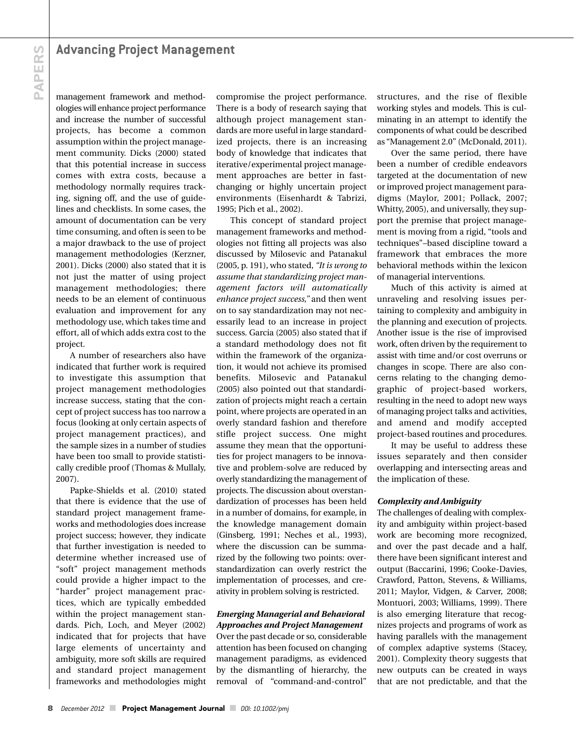## **Advancing Project Management**

management framework and methodologies will enhance project performance and increase the number of successful projects, has become a common assumption within the project management community. Dicks (2000) stated that this potential increase in success comes with extra costs, because a methodology normally requires tracking, signing off, and the use of guidelines and checklists. In some cases, the amount of documentation can be very time consuming, and often is seen to be a major drawback to the use of project management methodologies (Kerzner, 2001). Dicks (2000) also stated that it is not just the matter of using project management methodologies; there needs to be an element of continuous evaluation and improvement for any methodology use, which takes time and effort, all of which adds extra cost to the project.

A number of researchers also have indicated that further work is required to investigate this assumption that project management methodologies increase success, stating that the concept of project success has too narrow a focus (looking at only certain aspects of project management practices), and the sample sizes in a number of studies have been too small to provide statistically credible proof (Thomas & Mullaly, 2007).

Papke-Shields et al. (2010) stated that there is evidence that the use of standard project management frameworks and methodologies does increase project success; however, they indicate that further investigation is needed to determine whether increased use of "soft" project management methods could provide a higher impact to the "harder" project management practices, which are typically embedded within the project management standards. Pich, Loch, and Meyer (2002) indicated that for projects that have large elements of uncertainty and ambiguity, more soft skills are required and standard project management frameworks and methodologies might compromise the project performance. There is a body of research saying that although project management standards are more useful in large standardized projects, there is an increasing body of knowledge that indicates that iterative/experimental project management approaches are better in fastchanging or highly uncertain project environments (Eisenhardt & Tabrizi, 1995; Pich et al., 2002).

This concept of standard project management frameworks and methodologies not fitting all projects was also discussed by Milosevic and Patanakul (2005, p. 191), who stated, *"It is wrong to assume that standardizing project management factors will automatically enhance project success,"* and then went on to say standardization may not necessarily lead to an increase in project success. Garcia (2005) also stated that if a standard methodology does not fit within the framework of the organization, it would not achieve its promised benefits. Milosevic and Patanakul (2005) also pointed out that standardization of projects might reach a certain point, where projects are operated in an overly standard fashion and therefore stifle project success. One might assume they mean that the opportunities for project managers to be innovative and problem-solve are reduced by overly standardizing the management of projects. The discussion about overstandardization of processes has been held in a number of domains, for example, in the knowledge management domain (Ginsberg, 1991; Neches et al.*,* 1993), where the discussion can be summarized by the following two points: overstandardization can overly restrict the implementation of processes, and creativity in problem solving is restricted.

#### *Emerging Managerial and Behavioral Approaches and Project Management*

Over the past decade or so, considerable attention has been focused on changing management paradigms, as evidenced by the dismantling of hierarchy, the removal of "command-and-control"

structures, and the rise of flexible working styles and models. This is culminating in an attempt to identify the components of what could be described as "Management 2.0" (McDonald, 2011).

Over the same period, there have been a number of credible endeavors targeted at the documentation of new or improved project management paradigms (Maylor, 2001; Pollack, 2007; Whitty, 2005), and universally, they support the premise that project management is moving from a rigid, "tools and techniques"–based discipline toward a framework that embraces the more behavioral methods within the lexicon of managerial interventions.

Much of this activity is aimed at unraveling and resolving issues pertaining to complexity and ambiguity in the planning and execution of projects. Another issue is the rise of improvised work, often driven by the requirement to assist with time and/or cost overruns or changes in scope. There are also concerns relating to the changing demographic of project-based workers, resulting in the need to adopt new ways of managing project talks and activities, and amend and modify accepted project-based routines and procedures.

It may be useful to address these issues separately and then consider overlapping and intersecting areas and the implication of these.

#### *Complexity and Ambiguity*

The challenges of dealing with complexity and ambiguity within project-based work are becoming more recognized, and over the past decade and a half, there have been significant interest and output (Baccarini, 1996; Cooke-Davies, Crawford, Patton, Stevens, & Williams, 2011; Maylor, Vidgen, & Carver, 2008; Montuori, 2003; Williams, 1999). There is also emerging literature that recognizes projects and programs of work as having parallels with the management of complex adaptive systems (Stacey, 2001). Complexity theory suggests that new outputs can be created in ways that are not predictable, and that the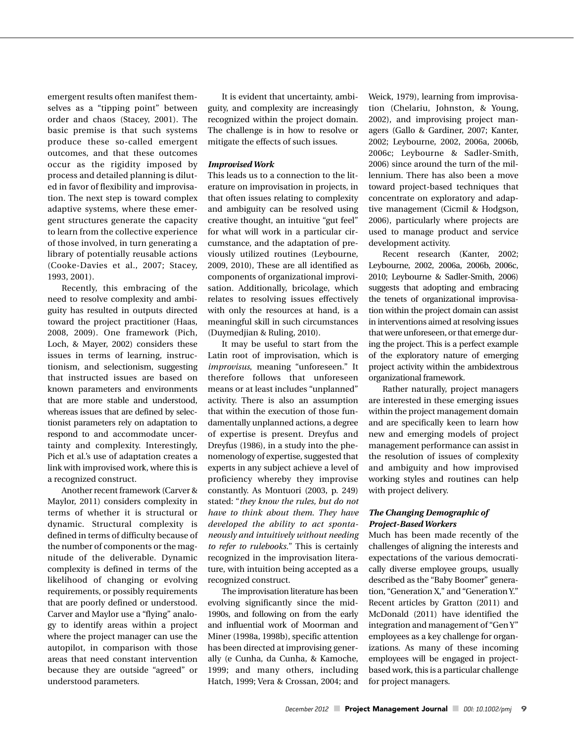emergent results often manifest themselves as a "tipping point" between order and chaos (Stacey, 2001). The basic premise is that such systems produce these so-called emergent outcomes, and that these outcomes occur as the rigidity imposed by process and detailed planning is diluted in favor of flexibility and improvisation. The next step is toward complex adaptive systems, where these emergent structures generate the capacity to learn from the collective experience of those involved, in turn generating a library of potentially reusable actions (Cooke-Davies et al., 2007; Stacey, 1993, 2001).

Recently, this embracing of the need to resolve complexity and ambiguity has resulted in outputs directed toward the project practitioner (Haas, 2008, 2009). One framework (Pich, Loch, & Mayer, 2002) considers these issues in terms of learning, instructionism, and selectionism, suggesting that instructed issues are based on known parameters and environments that are more stable and understood, whereas issues that are defined by selectionist parameters rely on adaptation to respond to and accommodate uncertainty and complexity. Interestingly, Pich et al.'s use of adaptation creates a link with improvised work, where this is a recognized construct.

Another recent framework (Carver & Maylor, 2011) considers complexity in terms of whether it is structural or dynamic. Structural complexity is defined in terms of difficulty because of the number of components or the magnitude of the deliverable. Dynamic complexity is defined in terms of the likelihood of changing or evolving requirements, or possibly requirements that are poorly defined or understood. Carver and Maylor use a "flying" analogy to identify areas within a project where the project manager can use the autopilot, in comparison with those areas that need constant intervention because they are outside "agreed" or understood parameters.

It is evident that uncertainty, ambiguity, and complexity are increasingly recognized within the project domain. The challenge is in how to resolve or mitigate the effects of such issues.

#### *Improvised Work*

This leads us to a connection to the literature on improvisation in projects, in that often issues relating to complexity and ambiguity can be resolved using creative thought, an intuitive "gut feel" for what will work in a particular circumstance, and the adaptation of previously utilized routines (Leybourne, 2009, 2010), These are all identified as components of organizational improvisation. Additionally, bricolage, which relates to resolving issues effectively with only the resources at hand, is a meaningful skill in such circumstances (Duymedjian & Ruling, 2010).

It may be useful to start from the Latin root of improvisation, which is *improvisus*, meaning "unforeseen." It therefore follows that unforeseen means or at least includes "unplanned" activity. There is also an assumption that within the execution of those fundamentally unplanned actions, a degree of expertise is present. Dreyfus and Dreyfus (1986), in a study into the phenomenology of expertise, suggested that experts in any subject achieve a level of proficiency whereby they improvise constantly. As Montuori (2003, p. 249) stated: "*they know the rules, but do not have to think about them. They have developed the ability to act spontaneously and intuitively without needing to refer to rulebooks.*" This is certainly recognized in the improvisation literature, with intuition being accepted as a recognized construct.

The improvisation literature has been evolving significantly since the mid-1990s, and following on from the early and influential work of Moorman and Miner (1998a, 1998b), specific attention has been directed at improvising generally (e Cunha, da Cunha, & Kamoche, 1999; and many others, including Hatch, 1999; Vera & Crossan, 2004; and

Weick, 1979), learning from improvisation (Chelariu, Johnston, & Young, 2002), and improvising project managers (Gallo & Gardiner, 2007; Kanter, 2002; Leybourne, 2002, 2006a, 2006b, 2006c; Leybourne & Sadler-Smith, 2006) since around the turn of the millennium. There has also been a move toward project-based techniques that concentrate on exploratory and adaptive management (Cicmil & Hodgson, 2006), particularly where projects are used to manage product and service development activity.

Recent research (Kanter, 2002; Leybourne, 2002, 2006a, 2006b, 2006c, 2010; Leybourne & Sadler-Smith, 2006) suggests that adopting and embracing the tenets of organizational improvisation within the project domain can assist in interventions aimed at resolving issues that were unforeseen, or that emerge during the project. This is a perfect example of the exploratory nature of emerging project activity within the ambidextrous organizational framework.

Rather naturally, project managers are interested in these emerging issues within the project management domain and are specifically keen to learn how new and emerging models of project management performance can assist in the resolution of issues of complexity and ambiguity and how improvised working styles and routines can help with project delivery.

#### *The Changing Demographic of Project-Based Workers*

Much has been made recently of the challenges of aligning the interests and expectations of the various democratically diverse employee groups, usually described as the "Baby Boomer" generation, "Generation X," and "Generation Y." Recent articles by Gratton (2011) and McDonald (2011) have identified the integration and management of "Gen Y" employees as a key challenge for organizations. As many of these incoming employees will be engaged in projectbased work, this is a particular challenge for project managers.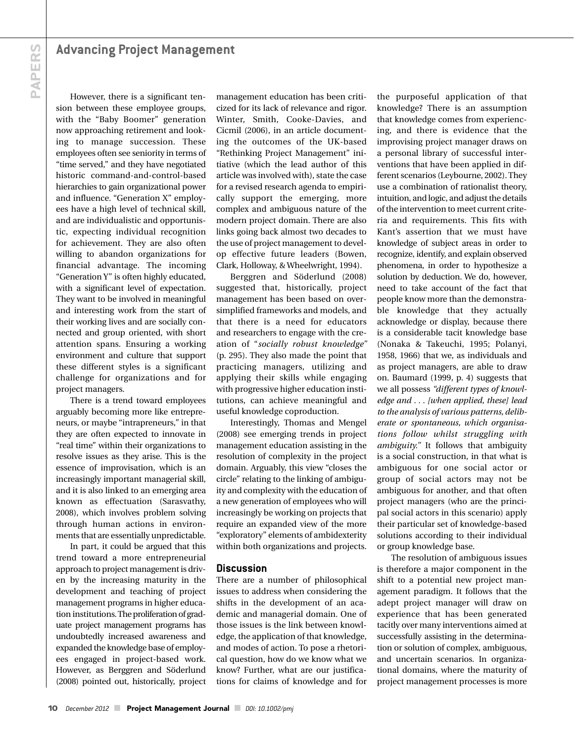## **Advancing Project Management**

However, there is a significant tension between these employee groups, with the "Baby Boomer" generation now approaching retirement and looking to manage succession. These employees often see seniority in terms of "time served," and they have negotiated historic command-and-control-based hierarchies to gain organizational power and influence. "Generation X" employees have a high level of technical skill, and are individualistic and opportunistic, expecting individual recognition for achievement. They are also often willing to abandon organizations for financial advantage. The incoming "Generation Y" is often highly educated, with a significant level of expectation. They want to be involved in meaningful and interesting work from the start of their working lives and are socially connected and group oriented, with short attention spans. Ensuring a working environment and culture that support these different styles is a significant challenge for organizations and for project managers.

There is a trend toward employees arguably becoming more like entrepreneurs, or maybe "intrapreneurs," in that they are often expected to innovate in "real time" within their organizations to resolve issues as they arise. This is the essence of improvisation, which is an increasingly important managerial skill, and it is also linked to an emerging area known as effectuation (Sarasvathy, 2008), which involves problem solving through human actions in environments that are essentially unpredictable.

In part, it could be argued that this trend toward a more entrepreneurial approach to project management is driven by the increasing maturity in the development and teaching of project management programs in higher education institutions. The proliferation of graduate project management programs has undoubtedly increased awareness and expanded the knowledge base of employees engaged in project-based work. However, as Berggren and Söderlund (2008) pointed out, historically, project management education has been criticized for its lack of relevance and rigor. Winter, Smith, Cooke-Davies, and Cicmil (2006), in an article documenting the outcomes of the UK-based "Rethinking Project Management" initiative (which the lead author of this article was involved with), state the case for a revised research agenda to empirically support the emerging, more complex and ambiguous nature of the modern project domain. There are also links going back almost two decades to the use of project management to develop effective future leaders (Bowen, Clark, Holloway, & Wheelwright, 1994).

Berggren and Söderlund (2008) suggested that, historically, project management has been based on oversimplified frameworks and models, and that there is a need for educators and researchers to engage with the creation of "*socially robust knowledge"* (p. 295). They also made the point that practicing managers, utilizing and applying their skills while engaging with progressive higher education institutions, can achieve meaningful and useful knowledge coproduction.

Interestingly, Thomas and Mengel (2008) see emerging trends in project management education assisting in the resolution of complexity in the project domain. Arguably, this view "closes the circle" relating to the linking of ambiguity and complexity with the education of a new generation of employees who will increasingly be working on projects that require an expanded view of the more "exploratory" elements of ambidexterity within both organizations and projects.

#### **Discussion**

There are a number of philosophical issues to address when considering the shifts in the development of an academic and managerial domain. One of those issues is the link between knowledge, the application of that knowledge, and modes of action. To pose a rhetorical question, how do we know what we know? Further, what are our justifications for claims of knowledge and for

the purposeful application of that knowledge? There is an assumption that knowledge comes from experiencing, and there is evidence that the improvising project manager draws on a personal library of successful interventions that have been applied in different scenarios (Leybourne, 2002). They use a combination of rationalist theory, intuition, and logic, and adjust the details of the intervention to meet current criteria and requirements. This fits with Kant's assertion that we must have knowledge of subject areas in order to recognize, identify, and explain observed phenomena, in order to hypothesize a solution by deduction. We do, however, need to take account of the fact that people know more than the demonstrable knowledge that they actually acknowledge or display, because there is a considerable tacit knowledge base (Nonaka & Takeuchi, 1995; Polanyi, 1958, 1966) that we, as individuals and as project managers, are able to draw on. Baumard (1999, p. 4) suggests that we all possess *"different types of knowledge and . . . [when applied, these] lead to the analysis of various patterns, deliberate or spontaneous, which organisations follow whilst struggling with ambiguity."* It follows that ambiguity is a social construction, in that what is ambiguous for one social actor or group of social actors may not be ambiguous for another, and that often project managers (who are the principal social actors in this scenario) apply their particular set of knowledge-based solutions according to their individual or group knowledge base.

The resolution of ambiguous issues is therefore a major component in the shift to a potential new project management paradigm. It follows that the adept project manager will draw on experience that has been generated tacitly over many interventions aimed at successfully assisting in the determination or solution of complex, ambiguous, and uncertain scenarios. In organizational domains, where the maturity of project management processes is more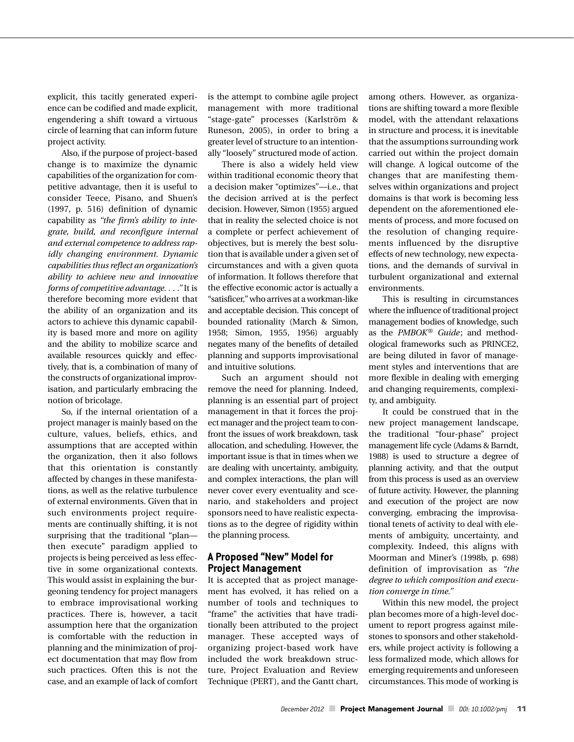explicit, this tacitly generated experience can be codified and made explicit, engendering a shift toward a virtuous circle of learning that can inform future project activity.

Also, if the purpose of project-based change is to maximize the dynamic capabilities of the organization for competitive advantage, then it is useful to consider Teece, Pisano, and Shuen's (1997, p. 516) definition of dynamic capability as *"the firm's ability to integrate, build, and reconfigure internal and external competence to address rapidly changing environment. Dynamic capabilities thus reflect an organization's ability to achieve new and innovative forms of competitive advantage. . . ."* It is therefore becoming more evident that the ability of an organization and its actors to achieve this dynamic capability is based more and more on agility and the ability to mobilize scarce and available resources quickly and effectively, that is, a combination of many of the constructs of organizational improvisation, and particularly embracing the notion of bricolage.

So, if the internal orientation of a project manager is mainly based on the culture, values, beliefs, ethics, and assumptions that are accepted within the organization, then it also follows that this orientation is constantly affected by changes in these manifestations, as well as the relative turbulence of external environments. Given that in such environments project requirements are continually shifting, it is not surprising that the traditional "plan then execute" paradigm applied to projects is being perceived as less effective in some organizational contexts. This would assist in explaining the burgeoning tendency for project managers to embrace improvisational working practices. There is, however, a tacit assumption here that the organization is comfortable with the reduction in planning and the minimization of project documentation that may flow from such practices. Often this is not the case, and an example of lack of comfort

is the attempt to combine agile project management with more traditional "stage-gate" processes (Karlström & Runeson, 2005), in order to bring a greater level of structure to an intentionally "loosely" structured mode of action.

There is also a widely held view within traditional economic theory that a decision maker "optimizes"—i.e., that the decision arrived at is the perfect decision. However, Simon (1955) argued that in reality the selected choice is not a complete or perfect achievement of objectives, but is merely the best solution that is available under a given set of circumstances and with a given quota of information. It follows therefore that the effective economic actor is actually a "satisficer," who arrives at a workman-like and acceptable decision. This concept of bounded rationality (March & Simon, 1958; Simon, 1955, 1956) arguably negates many of the benefits of detailed planning and supports improvisational and intuitive solutions.

Such an argument should not remove the need for planning. Indeed, planning is an essential part of project management in that it forces the project manager and the project team to confront the issues of work breakdown, task allocation, and scheduling. However, the important issue is that in times when we are dealing with uncertainty, ambiguity, and complex interactions, the plan will never cover every eventuality and scenario, and stakeholders and project sponsors need to have realistic expectations as to the degree of rigidity within the planning process.

#### **A Proposed "New" Model for Project Management**

It is accepted that as project management has evolved, it has relied on a number of tools and techniques to "frame" the activities that have traditionally been attributed to the project manager. These accepted ways of organizing project-based work have included the work breakdown structure, Project Evaluation and Review Technique (PERT), and the Gantt chart,

among others. However, as organizations are shifting toward a more flexible model, with the attendant relaxations in structure and process, it is inevitable that the assumptions surrounding work carried out within the project domain will change. A logical outcome of the changes that are manifesting themselves within organizations and project domains is that work is becoming less dependent on the aforementioned elements of process, and more focused on the resolution of changing requirements influenced by the disruptive effects of new technology, new expectations, and the demands of survival in turbulent organizational and external environments.

This is resulting in circumstances where the influence of traditional project management bodies of knowledge, such as the *PMBOK® Guide*; and methodological frameworks such as PRINCE2, are being diluted in favor of management styles and interventions that are more flexible in dealing with emerging and changing requirements, complexity, and ambiguity.

It could be construed that in the new project management landscape, the traditional "four-phase" project management life cycle (Adams & Barndt, 1988) is used to structure a degree of planning activity, and that the output from this process is used as an overview of future activity. However, the planning and execution of the project are now converging, embracing the improvisational tenets of activity to deal with elements of ambiguity, uncertainty, and complexity. Indeed, this aligns with Moorman and Miner's (1998b, p. 698) definition of improvisation as *"the degree to which composition and execution converge in time."*

Within this new model, the project plan becomes more of a high-level document to report progress against milestones to sponsors and other stakeholders, while project activity is following a less formalized mode, which allows for emerging requirements and unforeseen circumstances. This mode of working is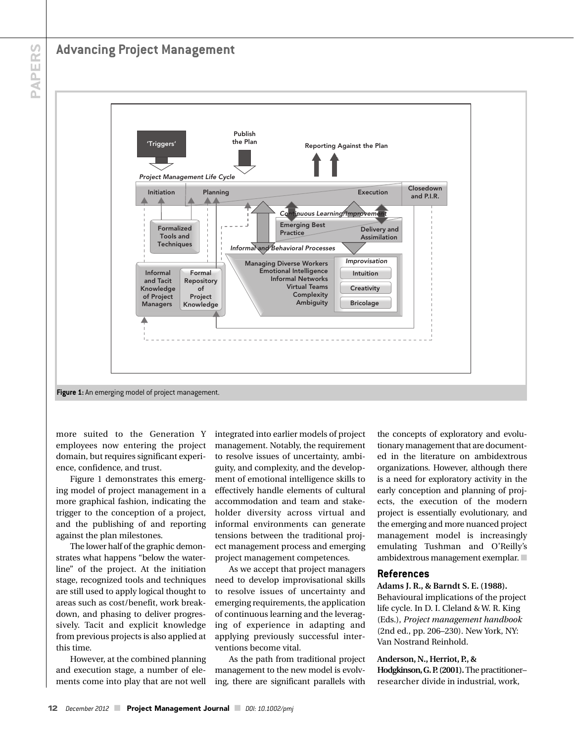PAPERS **PAPERS**

### **Advancing Project Management**



more suited to the Generation Y employees now entering the project domain, but requires significant experience, confidence, and trust.

Figure 1 demonstrates this emerging model of project management in a more graphical fashion, indicating the trigger to the conception of a project, and the publishing of and reporting against the plan milestones.

The lower half of the graphic demonstrates what happens "below the waterline" of the project. At the initiation stage, recognized tools and techniques are still used to apply logical thought to areas such as cost/benefit, work breakdown, and phasing to deliver progressively. Tacit and explicit knowledge from previous projects is also applied at this time.

However, at the combined planning and execution stage, a number of elements come into play that are not well integrated into earlier models of project management. Notably, the requirement to resolve issues of uncertainty, ambiguity, and complexity, and the development of emotional intelligence skills to effectively handle elements of cultural accommodation and team and stakeholder diversity across virtual and informal environments can generate tensions between the traditional project management process and emerging project management competences.

As we accept that project managers need to develop improvisational skills to resolve issues of uncertainty and emerging requirements, the application of continuous learning and the leveraging of experience in adapting and applying previously successful interventions become vital.

As the path from traditional project management to the new model is evolving, there are significant parallels with the concepts of exploratory and evolutionary management that are documented in the literature on ambidextrous organizations. However, although there is a need for exploratory activity in the early conception and planning of projects, the execution of the modern project is essentially evolutionary, and the emerging and more nuanced project management model is increasingly emulating Tushman and O'Reilly's ambidextrous management exemplar. ■

#### **References**

**Adams J. R., & Barndt S. E. (1988).** Behavioural implications of the project life cycle. In D. I. Cleland & W. R. King (Eds.), *Project management handbook* (2nd ed., pp. 206–230). New York, NY: Van Nostrand Reinhold.

#### **Anderson, N., Herriot, P., & Hodgkinson,G. P. (2001).**The practitioner–

researcher divide in industrial, work,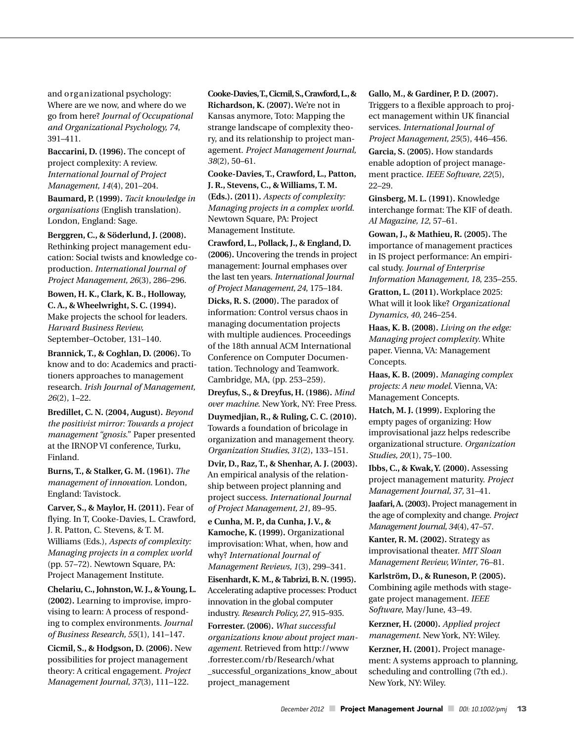and organizational psychology: Where are we now, and where do we go from here? *Journal of Occupational and Organizational Psychology, 74*, 391–411.

**Baccarini, D. (1996).** The concept of project complexity: A review. *International Journal of Project Management, 14*(4), 201–204.

**Baumard, P. (1999).** *Tacit knowledge in organisations* (English translation). London, England: Sage.

**Berggren, C., & Söderlund, J. (2008).** Rethinking project management education: Social twists and knowledge coproduction. *International Journal of Project Management, 26*(3), 286–296.

**Bowen, H. K., Clark, K. B., Holloway, C. A., & Wheelwright, S. C. (1994).** Make projects the school for leaders. *Harvard Business Review,* September–October, 131–140.

**Brannick, T., & Coghlan, D. (2006).** To know and to do: Academics and practitioners approaches to management research. *Irish Journal of Management, 26*(2), 1–22.

**Bredillet, C. N. (2004, August).** *Beyond the positivist mirror: Towards a project management "gnosis*." Paper presented at the IRNOP VI conference, Turku, Finland.

**Burns, T., & Stalker, G. M. (1961).** *The management of innovation*. London, England: Tavistock.

**Carver, S., & Maylor, H. (2011).** Fear of flying. In T, Cooke-Davies, L. Crawford, J. R. Patton, C. Stevens, & T. M. Williams (Eds.), *Aspects of complexity: Managing projects in a complex world* (pp. 57–72). Newtown Square, PA: Project Management Institute.

**Chelariu, C., Johnston, W. J., & Young, L. (2002).** Learning to improvise, improvising to learn: A process of responding to complex environments. *Journal of Business Research, 55*(1), 141–147.

**Cicmil, S., & Hodgson, D. (2006).** New possibilities for project management theory: A critical engagement. *Project Management Journal, 37*(3), 111–122.

**Cooke-Davies,T.,Cicmil,S.,Crawford,L.,& Richardson, K. (2007).** We're not in Kansas anymore, Toto: Mapping the strange landscape of complexity theory, and its relationship to project management. *Project Management Journal, 38*(2), 50–61.

**Cooke-Davies, T., Crawford, L., Patton, J. R., Stevens, C., & Williams, T. M. (Eds.). (2011).** *Aspects of complexity: Managing projects in a complex world*. Newtown Square, PA: Project Management Institute.

**Crawford, L., Pollack, J., & England, D. (2006).** Uncovering the trends in project management: Journal emphases over the last ten years. *International Journal of Project Management, 24*, 175–184.

**Dicks, R. S. (2000).** The paradox of information: Control versus chaos in managing documentation projects with multiple audiences. Proceedings of the 18th annual ACM International Conference on Computer Documentation. Technology and Teamwork. Cambridge, MA, (pp. 253–259).

**Dreyfus, S., & Dreyfus, H. (1986).** *Mind over machine*. New York, NY: Free Press.

**Duymedjian, R., & Ruling, C. C. (2010).** Towards a foundation of bricolage in organization and management theory. *Organization Studies, 31*(2), 133–151.

**Dvir, D., Raz, T., & Shenhar, A. J. (2003).** An empirical analysis of the relationship between project planning and project success. *International Journal of Project Management, 21*, 89–95.

**e Cunha, M. P., da Cunha, J. V., & Kamoche, K. (1999).** Organizational improvisation: What, when, how and why? *International Journal of Management Reviews, 1*(3), 299–341.

**Eisenhardt, K. M., & Tabrizi, B. N. (1995).** Accelerating adaptive processes: Product innovation in the global computer industry. *Research Policy, 27*, 915–935. **Forrester. (2006).** *What successful organizations know about project management*. Retrieved from http://www .forrester.com/rb/Research/what \_successful\_organizations\_know\_about project\_management

**Gallo, M., & Gardiner, P. D. (2007).**

Triggers to a flexible approach to project management within UK financial services. *International Journal of Project Management, 25*(5), 446–456. **Garcia, S. (2005).** How standards enable adoption of project management practice. *IEEE Software, 22*(5), 22–29.

**Ginsberg, M. L. (1991).** Knowledge interchange format: The KIF of death. *AI Magazine, 12*, 57–61.

**Gowan, J., & Mathieu, R. (2005).** The importance of management practices in IS project performance: An empirical study. *Journal of Enterprise Information Management, 18*, 235–255. **Gratton, L. (2011).** Workplace 2025: What will it look like? *Organizational Dynamics, 40*, 246–254.

**Haas, K. B. (2008).** *Living on the edge: Managing project complexity*. White paper. Vienna, VA: Management Concepts.

**Haas, K. B. (2009).** *Managing complex projects: A new model*. Vienna, VA: Management Concepts.

**Hatch, M. J. (1999).** Exploring the empty pages of organizing: How improvisational jazz helps redescribe organizational structure. *Organization Studies, 20*(1), 75–100.

**Ibbs, C., & Kwak, Y. (2000).** Assessing project management maturity. *Project Management Journal, 37,* 31–41.

**Jaafari, A. (2003).** Project management in the age of complexity and change. *Project Management Journal, 34*(4), 47–57.

**Kanter, R. M. (2002).** Strategy as improvisational theater. *MIT Sloan Management Review, Winter*, 76–81.

**Karlström, D., & Runeson, P. (2005).** Combining agile methods with stagegate project management. *IEEE Software*, May/June, 43–49.

**Kerzner, H. (2000).** *Applied project management*. New York, NY: Wiley.

**Kerzner, H. (2001).** Project management: A systems approach to planning, scheduling and controlling (7th ed.). New York, NY: Wiley.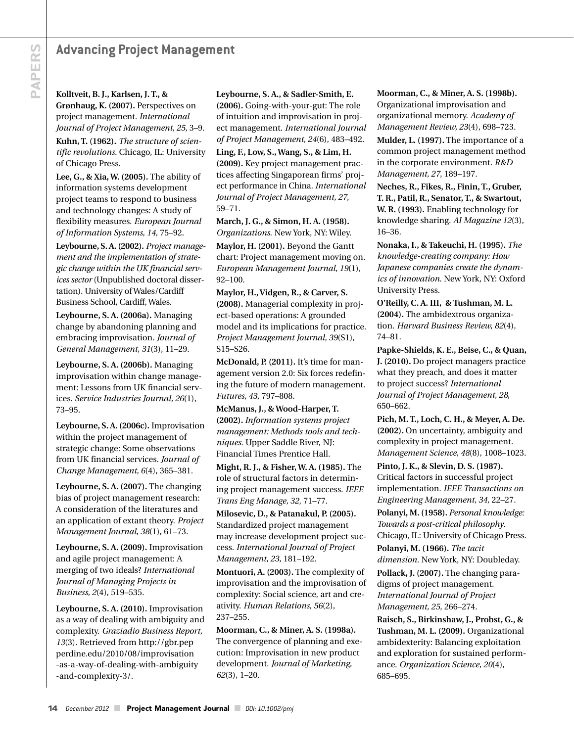**Kolltveit, B. J., Karlsen, J. T., & Grønhaug, K. (2007).** Perspectives on project management. *International*

*Journal of Project Management, 25*, 3–9. **Kuhn, T. (1962).** *The structure of scientific revolutions*. Chicago, IL: University of Chicago Press.

**Lee, G., & Xia, W. (2005).** The ability of information systems development project teams to respond to business and technology changes: A study of flexibility measures. *European Journal of Information Systems, 14,* 75–92.

**Leybourne, S. A. (2002).** *Project management and the implementation of strategic change within the UK financial services sector* (Unpublished doctoral dissertation). University of Wales/Cardiff Business School, Cardiff, Wales.

**Leybourne, S. A. (2006a).** Managing change by abandoning planning and embracing improvisation. *Journal of General Management, 31*(3), 11–29.

**Leybourne, S. A. (2006b).** Managing improvisation within change management: Lessons from UK financial services. *Service Industries Journal, 26*(1), 73–95.

**Leybourne, S. A. (2006c).** Improvisation within the project management of strategic change: Some observations from UK financial services. *Journal of Change Management, 6*(4), 365–381.

**Leybourne, S. A. (2007).** The changing bias of project management research: A consideration of the literatures and an application of extant theory. *Project Management Journal, 38*(1), 61–73.

**Leybourne, S. A. (2009).** Improvisation and agile project management: A merging of two ideals? *International Journal of Managing Projects in Business, 2*(4), 519–535.

**Leybourne, S. A. (2010).** Improvisation as a way of dealing with ambiguity and complexity. *Graziadio Business Report, 13*(3). Retrieved from http://gbr.pep perdine.edu/2010/08/improvisation -as-a-way-of-dealing-with-ambiguity -and-complexity-3/.

**Leybourne, S. A., & Sadler-Smith, E. (2006).** Going-with-your-gut: The role of intuition and improvisation in project management. *International Journal of Project Management, 24*(6), 483–492.

**Ling, F., Low, S., Wang, S., & Lim, H. (2009).** Key project management practices affecting Singaporean firms' project performance in China. *International Journal of Project Management, 27*, 59–71.

**March, J. G., & Simon, H. A. (1958).** *Organizations*. New York, NY: Wiley. **Maylor, H. (2001).** Beyond the Gantt chart: Project management moving on. *European Management Journal, 19*(1), 92–100.

**Maylor, H., Vidgen, R., & Carver, S. (2008).** Managerial complexity in project-based operations: A grounded model and its implications for practice. *Project Management Journal, 39*(S1), S15–S26.

**McDonald, P. (2011).** It's time for management version 2.0: Six forces redefining the future of modern management. *Futures, 43*, 797–808.

**McManus, J., & Wood-Harper, T. (2002).** *Information systems project management: Methods tools and techniques*. Upper Saddle River, NJ: Financial Times Prentice Hall.

**Might, R. J., & Fisher, W. A. (1985).** The role of structural factors in determining project management success. *IEEE Trans Eng Manage, 32*, 71–77.

**Milosevic, D., & Patanakul, P. (2005).** Standardized project management may increase development project success. *International Journal of Project Management, 23,* 181–192.

**Montuori, A. (2003).** The complexity of improvisation and the improvisation of complexity: Social science, art and creativity. *Human Relations, 56*(2), 237–255.

**Moorman, C., & Miner, A. S. (1998a).** The convergence of planning and execution: Improvisation in new product development. *Journal of Marketing, 62*(3), 1–20.

**Moorman, C., & Miner, A. S. (1998b).** Organizational improvisation and organizational memory. *Academy of Management Review, 23*(4), 698–723.

**Mulder, L. (1997).** The importance of a common project management method in the corporate environment. *R&D Management, 27*, 189–197.

**Neches, R., Fikes, R., Finin, T., Gruber, T. R., Patil, R., Senator, T., & Swartout, W. R. (1993).** Enabling technology for knowledge sharing. *AI Magazine 12*(3), 16–36.

**Nonaka, I., & Takeuchi, H. (1995).** *The knowledge-creating company: How Japanese companies create the dynamics of innovation*. New York, NY: Oxford University Press.

**O'Reilly, C. A. III, & Tushman, M. L. (2004).** The ambidextrous organization. *Harvard Business Review, 82*(4), 74–81.

**Papke-Shields, K. E., Beise, C., & Quan, J. (2010).** Do project managers practice what they preach, and does it matter to project success? *International Journal of Project Management, 28*, 650–662.

**Pich, M. T., Loch, C. H., & Meyer, A. De. (2002).** On uncertainty, ambiguity and complexity in project management. *Management Science, 48*(8), 1008–1023.

**Pinto, J. K., & Slevin, D. S. (1987).** Critical factors in successful project implementation. *IEEE Transactions on Engineering Management, 34,* 22–27. **Polanyi, M. (1958).** *Personal knowledge: Towards a post-critical philosophy*. Chicago, IL: University of Chicago Press.

**Polanyi, M. (1966).** *The tacit dimension*. New York, NY: Doubleday.

**Pollack, J. (2007).** The changing paradigms of project management. *International Journal of Project Management, 25,* 266–274.

**Raisch, S., Birkinshaw, J., Probst, G., & Tushman, M. L. (2009).** Organizational ambidexterity: Balancing exploitation and exploration for sustained performance. *Organization Science, 20*(4), 685–695.